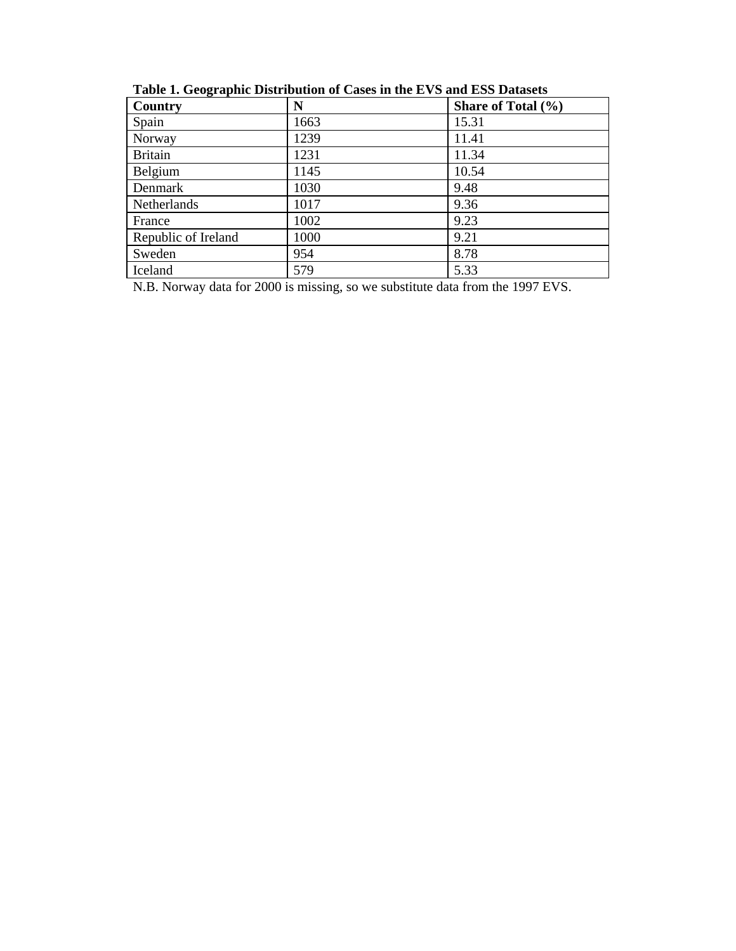| Country             | N    | Share of Total (%) |
|---------------------|------|--------------------|
| Spain               | 1663 | 15.31              |
| Norway              | 1239 | 11.41              |
| <b>Britain</b>      | 1231 | 11.34              |
| Belgium             | 1145 | 10.54              |
| Denmark             | 1030 | 9.48               |
| Netherlands         | 1017 | 9.36               |
| France              | 1002 | 9.23               |
| Republic of Ireland | 1000 | 9.21               |
| Sweden              | 954  | 8.78               |
| Iceland             | 579  | 5.33               |

**Table 1. Geographic Distribution of Cases in the EVS and ESS Datasets** 

N.B. Norway data for 2000 is missing, so we substitute data from the 1997 EVS.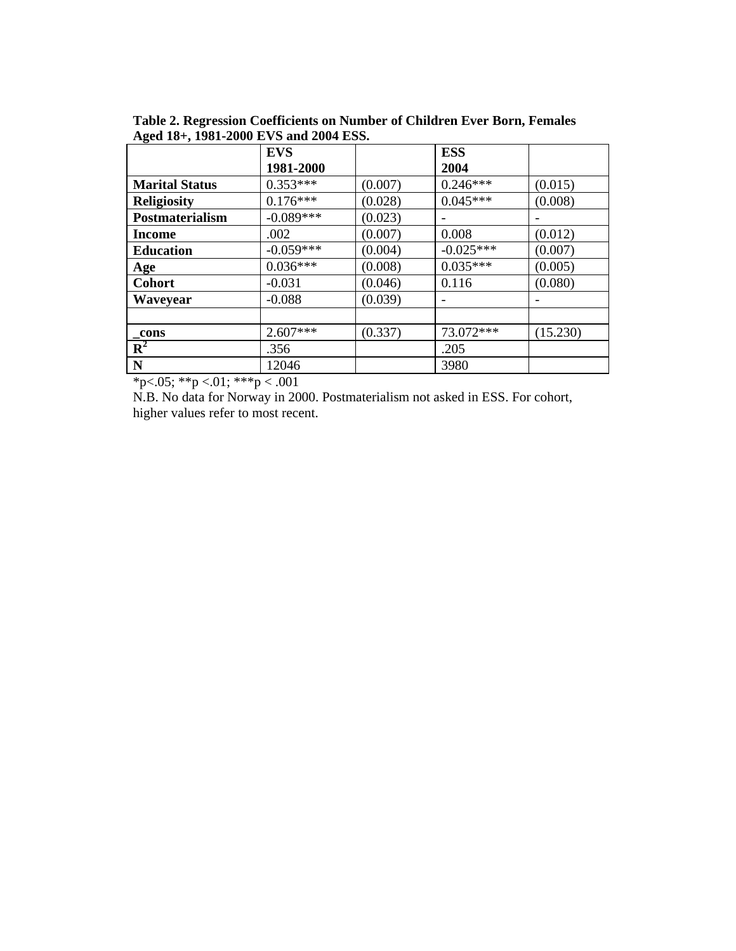|                        | <b>EVS</b>  |         | <b>ESS</b>  |          |
|------------------------|-------------|---------|-------------|----------|
|                        | 1981-2000   |         | 2004        |          |
| <b>Marital Status</b>  | $0.353***$  | (0.007) | $0.246***$  | (0.015)  |
| <b>Religiosity</b>     | $0.176***$  | (0.028) | $0.045***$  | (0.008)  |
| <b>Postmaterialism</b> | $-0.089***$ | (0.023) |             |          |
| <b>Income</b>          | .002        | (0.007) | 0.008       | (0.012)  |
| <b>Education</b>       | $-0.059***$ | (0.004) | $-0.025***$ | (0.007)  |
| <b>Age</b>             | $0.036***$  | (0.008) | $0.035***$  | (0.005)  |
| <b>Cohort</b>          | $-0.031$    | (0.046) | 0.116       | (0.080)  |
| Waveyear               | $-0.088$    | (0.039) |             |          |
|                        |             |         |             |          |
| cons                   | $2.607***$  | (0.337) | 73.072***   | (15.230) |
| $R^2$                  | .356        |         | .205        |          |
| N                      | 12046       |         | 3980        |          |

**Table 2. Regression Coefficients on Number of Children Ever Born, Females Aged 18+, 1981-2000 EVS and 2004 ESS.** 

 $*p<.05$ ;  $*p<.01$ ;  $**p<.001$ 

N.B. No data for Norway in 2000. Postmaterialism not asked in ESS. For cohort, higher values refer to most recent.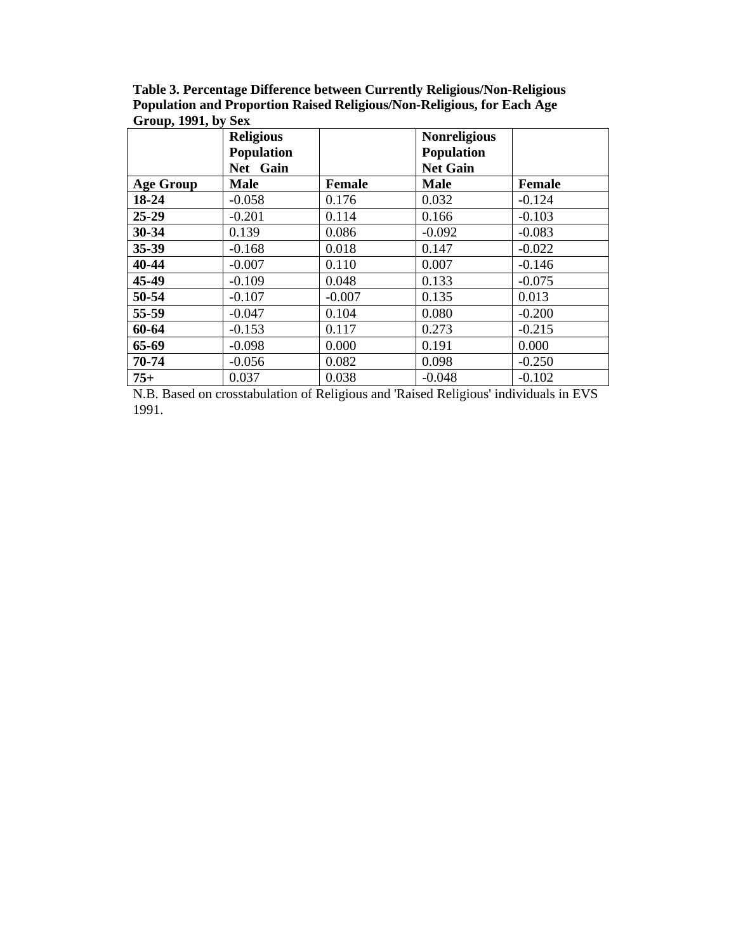| Table 3. Percentage Difference between Currently Religious/Non-Religious |
|--------------------------------------------------------------------------|
| Population and Proportion Raised Religious/Non-Religious, for Each Age   |
| Group, $1991$ , by Sex                                                   |

|                  | <b>Religious</b><br><b>Population</b><br>Net Gain |               | <b>Nonreligious</b><br><b>Population</b><br><b>Net Gain</b> |               |
|------------------|---------------------------------------------------|---------------|-------------------------------------------------------------|---------------|
| <b>Age Group</b> | <b>Male</b>                                       | <b>Female</b> | <b>Male</b>                                                 | <b>Female</b> |
| 18-24            | $-0.058$                                          | 0.176         | 0.032                                                       | $-0.124$      |
| 25-29            | $-0.201$                                          | 0.114         | 0.166                                                       | $-0.103$      |
| 30-34            | 0.139                                             | 0.086         | $-0.092$                                                    | $-0.083$      |
| 35-39            | $-0.168$                                          | 0.018         | 0.147                                                       | $-0.022$      |
| 40-44            | $-0.007$                                          | 0.110         | 0.007                                                       | $-0.146$      |
| 45-49            | $-0.109$                                          | 0.048         | 0.133                                                       | $-0.075$      |
| 50-54            | $-0.107$                                          | $-0.007$      | 0.135                                                       | 0.013         |
| 55-59            | $-0.047$                                          | 0.104         | 0.080                                                       | $-0.200$      |
| 60-64            | $-0.153$                                          | 0.117         | 0.273                                                       | $-0.215$      |
| 65-69            | $-0.098$                                          | 0.000         | 0.191                                                       | 0.000         |
| 70-74            | $-0.056$                                          | 0.082         | 0.098                                                       | $-0.250$      |
| $75+$            | 0.037                                             | 0.038         | $-0.048$                                                    | $-0.102$      |

N.B. Based on crosstabulation of Religious and 'Raised Religious' individuals in EVS 1991.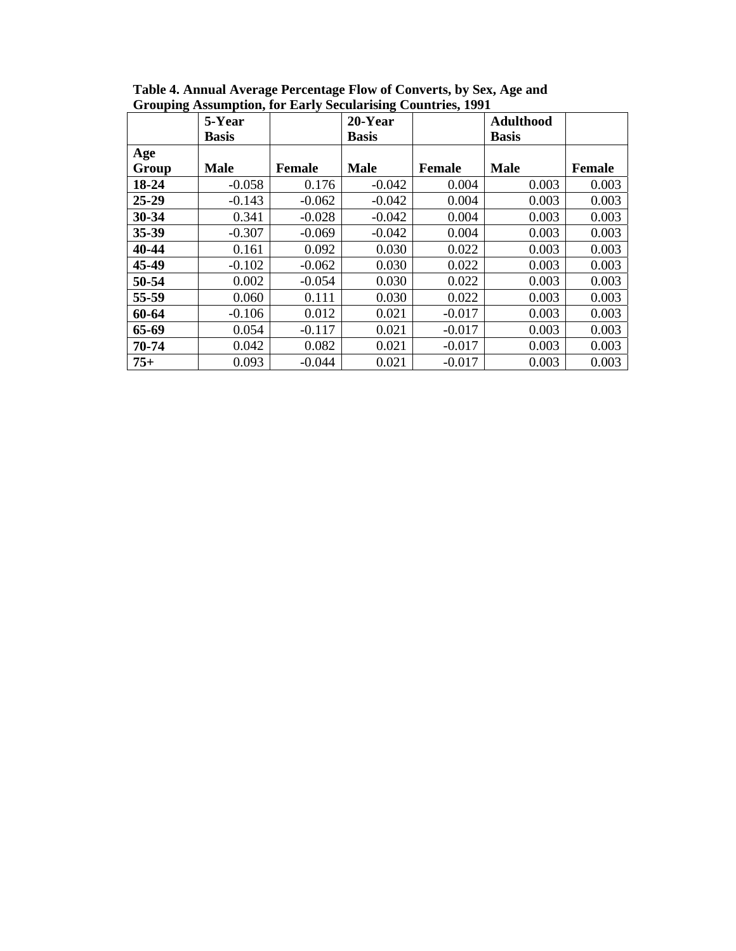|              | 5-Year<br><b>Basis</b> |               | o<br>20-Year<br><b>Basis</b> |               | <b>Adulthood</b><br><b>Basis</b> |               |
|--------------|------------------------|---------------|------------------------------|---------------|----------------------------------|---------------|
| Age<br>Group | <b>Male</b>            | <b>Female</b> | <b>Male</b>                  | <b>Female</b> | <b>Male</b>                      | <b>Female</b> |
| 18-24        | $-0.058$               | 0.176         | $-0.042$                     | 0.004         | 0.003                            | 0.003         |
| $25 - 29$    | $-0.143$               | $-0.062$      | $-0.042$                     | 0.004         | 0.003                            | 0.003         |
| 30-34        | 0.341                  | $-0.028$      | $-0.042$                     | 0.004         | 0.003                            | 0.003         |
| 35-39        | $-0.307$               | $-0.069$      | $-0.042$                     | 0.004         | 0.003                            | 0.003         |
| 40-44        | 0.161                  | 0.092         | 0.030                        | 0.022         | 0.003                            | 0.003         |
| 45-49        | $-0.102$               | $-0.062$      | 0.030                        | 0.022         | 0.003                            | 0.003         |
| 50-54        | 0.002                  | $-0.054$      | 0.030                        | 0.022         | 0.003                            | 0.003         |
| 55-59        | 0.060                  | 0.111         | 0.030                        | 0.022         | 0.003                            | 0.003         |
| 60-64        | $-0.106$               | 0.012         | 0.021                        | $-0.017$      | 0.003                            | 0.003         |
| 65-69        | 0.054                  | $-0.117$      | 0.021                        | $-0.017$      | 0.003                            | 0.003         |
| 70-74        | 0.042                  | 0.082         | 0.021                        | $-0.017$      | 0.003                            | 0.003         |
| $75+$        | 0.093                  | $-0.044$      | 0.021                        | $-0.017$      | 0.003                            | 0.003         |

**Table 4. Annual Average Percentage Flow of Converts, by Sex, Age and Grouping Assumption, for Early Secularising Countries, 1991**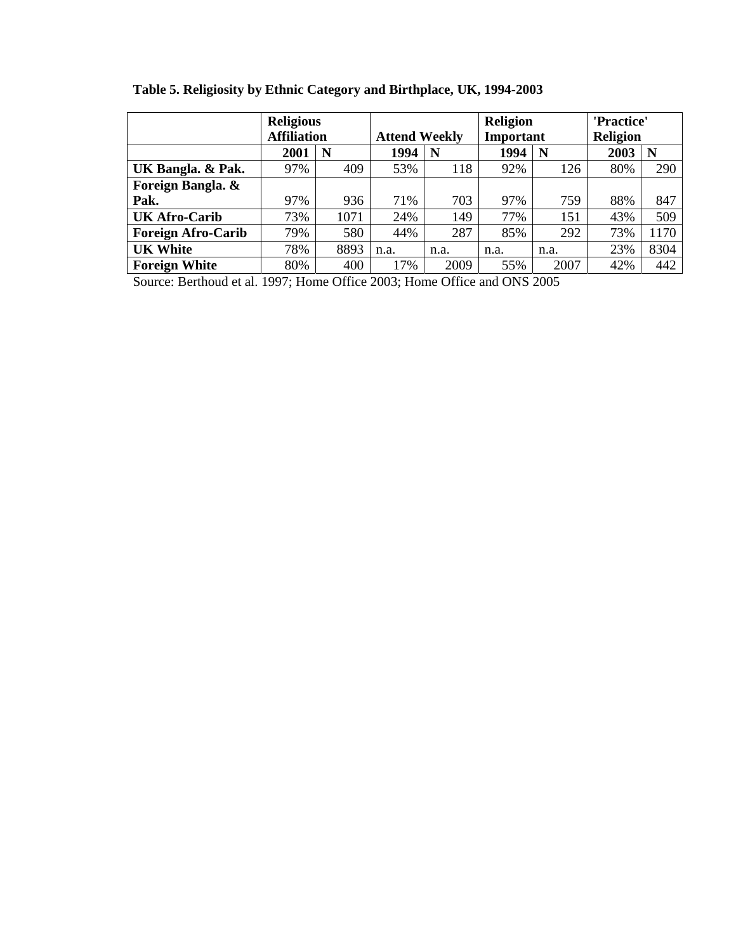**Table 5. Religiosity by Ethnic Category and Birthplace, UK, 1994-2003** 

|                           | <b>Religious</b><br><b>Affiliation</b> |      | <b>Attend Weekly</b> |      | <b>Religion</b><br><b>Important</b> |      | 'Practice'<br><b>Religion</b> |      |
|---------------------------|----------------------------------------|------|----------------------|------|-------------------------------------|------|-------------------------------|------|
|                           | 2001                                   | N    | 1994                 | N    | 1994                                | N    | 2003                          | N    |
| UK Bangla. & Pak.         | 97%                                    | 409  | 53%                  | 118  | 92%                                 | 126  | 80%                           | 290  |
| Foreign Bangla. &         |                                        |      |                      |      |                                     |      |                               |      |
| Pak.                      | 97%                                    | 936  | 71%                  | 703  | 97%                                 | 759  | 88%                           | 847  |
| <b>UK Afro-Carib</b>      | 73%                                    | 1071 | 24%                  | 149  | 77%                                 | 151  | 43%                           | 509  |
| <b>Foreign Afro-Carib</b> | 79%                                    | 580  | 44%                  | 287  | 85%                                 | 292  | 73%                           | 1170 |
| <b>UK White</b>           | 78%                                    | 8893 | n.a.                 | n.a. | n.a.                                | n.a. | 23%                           | 8304 |
| <b>Foreign White</b>      | 80%                                    | 400  | 17%                  | 2009 | 55%                                 | 2007 | 42%                           | 442  |

Source: Berthoud et al. 1997; Home Office 2003; Home Office and ONS 2005